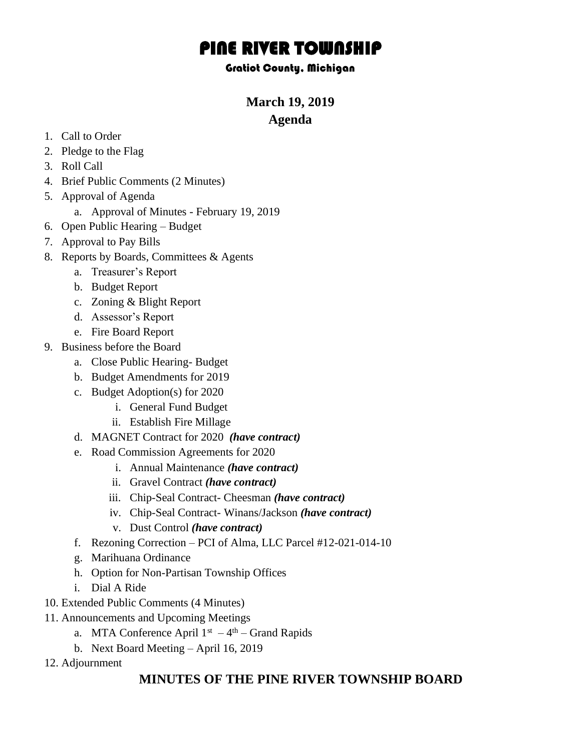# PINE RIVER TOWNSHIP

#### Gratiot County, Michigan

# **March 19, 2019 Agenda**

- 1. Call to Order
- 2. Pledge to the Flag
- 3. Roll Call
- 4. Brief Public Comments (2 Minutes)
- 5. Approval of Agenda
	- a. Approval of Minutes February 19, 2019
- 6. Open Public Hearing Budget
- 7. Approval to Pay Bills
- 8. Reports by Boards, Committees & Agents
	- a. Treasurer's Report
	- b. Budget Report
	- c. Zoning & Blight Report
	- d. Assessor's Report
	- e. Fire Board Report
- 9. Business before the Board
	- a. Close Public Hearing- Budget
	- b. Budget Amendments for 2019
	- c. Budget Adoption(s) for 2020
		- i. General Fund Budget
		- ii. Establish Fire Millage
	- d. MAGNET Contract for 2020 *(have contract)*
	- e. Road Commission Agreements for 2020
		- i. Annual Maintenance *(have contract)*
		- ii. Gravel Contract *(have contract)*
		- iii. Chip-Seal Contract- Cheesman *(have contract)*
		- iv. Chip-Seal Contract- Winans/Jackson *(have contract)*
		- v. Dust Control *(have contract)*
	- f. Rezoning Correction PCI of Alma, LLC Parcel #12-021-014-10
	- g. Marihuana Ordinance
	- h. Option for Non-Partisan Township Offices
	- i. Dial A Ride
- 10. Extended Public Comments (4 Minutes)
- 11. Announcements and Upcoming Meetings
	- a. MTA Conference April  $1<sup>st</sup> 4<sup>th</sup> Grand Rapids$
	- b. Next Board Meeting April 16, 2019
- 12. Adjournment

## **MINUTES OF THE PINE RIVER TOWNSHIP BOARD**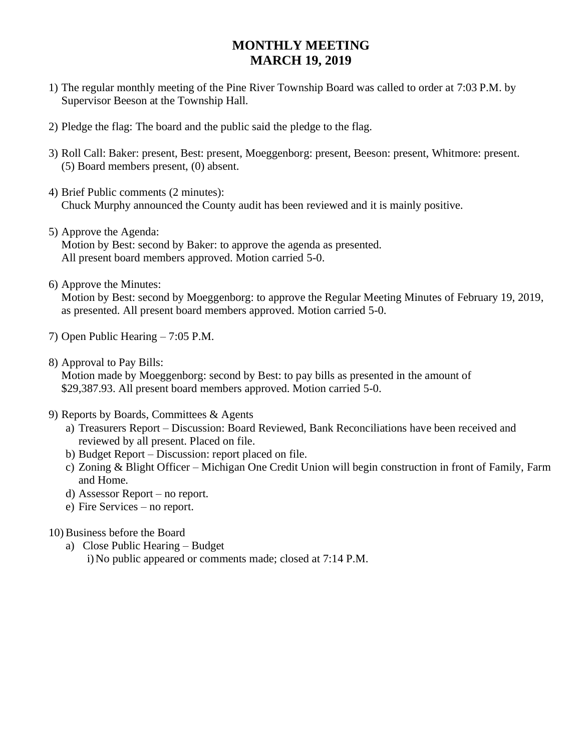## **MONTHLY MEETING MARCH 19, 2019**

- 1) The regular monthly meeting of the Pine River Township Board was called to order at 7:03 P.M. by Supervisor Beeson at the Township Hall.
- 2) Pledge the flag: The board and the public said the pledge to the flag.
- 3) Roll Call: Baker: present, Best: present, Moeggenborg: present, Beeson: present, Whitmore: present. (5) Board members present, (0) absent.
- 4) Brief Public comments (2 minutes): Chuck Murphy announced the County audit has been reviewed and it is mainly positive.
- 5) Approve the Agenda: Motion by Best: second by Baker: to approve the agenda as presented. All present board members approved. Motion carried 5-0.
- 6) Approve the Minutes:

Motion by Best: second by Moeggenborg: to approve the Regular Meeting Minutes of February 19, 2019, as presented. All present board members approved. Motion carried 5-0.

- 7) Open Public Hearing 7:05 P.M.
- 8) Approval to Pay Bills: Motion made by Moeggenborg: second by Best: to pay bills as presented in the amount of \$29,387.93. All present board members approved. Motion carried 5-0.
- 9) Reports by Boards, Committees & Agents
	- a) Treasurers Report Discussion: Board Reviewed, Bank Reconciliations have been received and reviewed by all present. Placed on file.
	- b) Budget Report Discussion: report placed on file.
	- c) Zoning & Blight Officer Michigan One Credit Union will begin construction in front of Family, Farm and Home.
	- d) Assessor Report no report.
	- e) Fire Services no report.
- 10) Business before the Board
	- a) Close Public Hearing Budget i) No public appeared or comments made; closed at 7:14 P.M.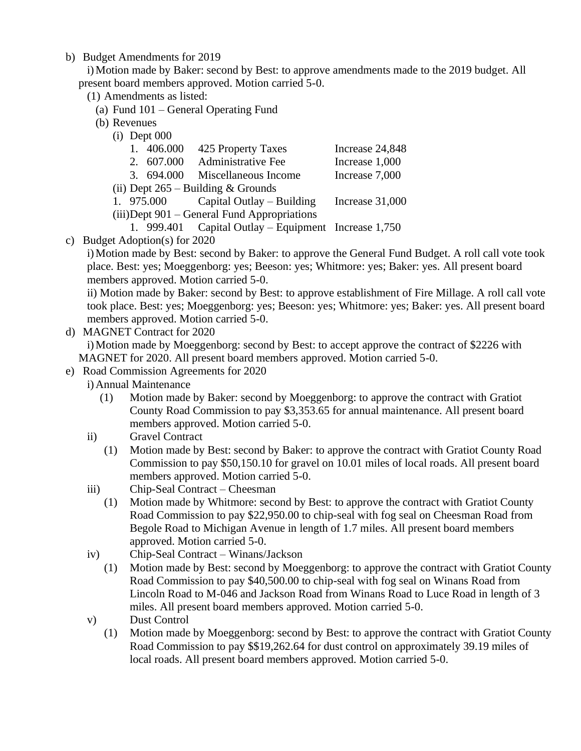b) Budget Amendments for 2019

i)Motion made by Baker: second by Best: to approve amendments made to the 2019 budget. All present board members approved. Motion carried 5-0.

- (1) Amendments as listed:
	- (a) Fund 101 General Operating Fund
	- (b) Revenues
		- (i) Dept 000

|  |  | 1. 406.000 425 Property Taxes | Increase 24,848 |
|--|--|-------------------------------|-----------------|
|--|--|-------------------------------|-----------------|

- 2. 607.000 Administrative Fee Increase 1,000
- 3. 694.000 Miscellaneous Income Increase 7,000
- (ii) Dept 265 Building & Grounds
- 1. 975.000 Capital Outlay Building Increase 31,000
- (iii)Dept 901 General Fund Appropriations
	- 1. 999.401 Capital Outlay Equipment Increase 1,750
- c) Budget Adoption(s) for 2020

i)Motion made by Best: second by Baker: to approve the General Fund Budget. A roll call vote took place. Best: yes; Moeggenborg: yes; Beeson: yes; Whitmore: yes; Baker: yes. All present board members approved. Motion carried 5-0.

ii) Motion made by Baker: second by Best: to approve establishment of Fire Millage. A roll call vote took place. Best: yes; Moeggenborg: yes; Beeson: yes; Whitmore: yes; Baker: yes. All present board members approved. Motion carried 5-0.

d) MAGNET Contract for 2020

i)Motion made by Moeggenborg: second by Best: to accept approve the contract of \$2226 with MAGNET for 2020. All present board members approved. Motion carried 5-0.

- e) Road Commission Agreements for 2020
	- i) Annual Maintenance
		- (1) Motion made by Baker: second by Moeggenborg: to approve the contract with Gratiot County Road Commission to pay \$3,353.65 for annual maintenance. All present board members approved. Motion carried 5-0.
	- ii) Gravel Contract
		- (1) Motion made by Best: second by Baker: to approve the contract with Gratiot County Road Commission to pay \$50,150.10 for gravel on 10.01 miles of local roads. All present board members approved. Motion carried 5-0.
	- iii) Chip-Seal Contract Cheesman
		- (1) Motion made by Whitmore: second by Best: to approve the contract with Gratiot County Road Commission to pay \$22,950.00 to chip-seal with fog seal on Cheesman Road from Begole Road to Michigan Avenue in length of 1.7 miles. All present board members approved. Motion carried 5-0.
	- iv) Chip-Seal Contract Winans/Jackson
		- (1) Motion made by Best: second by Moeggenborg: to approve the contract with Gratiot County Road Commission to pay \$40,500.00 to chip-seal with fog seal on Winans Road from Lincoln Road to M-046 and Jackson Road from Winans Road to Luce Road in length of 3 miles. All present board members approved. Motion carried 5-0.
	- v) Dust Control
		- (1) Motion made by Moeggenborg: second by Best: to approve the contract with Gratiot County Road Commission to pay \$\$19,262.64 for dust control on approximately 39.19 miles of local roads. All present board members approved. Motion carried 5-0.